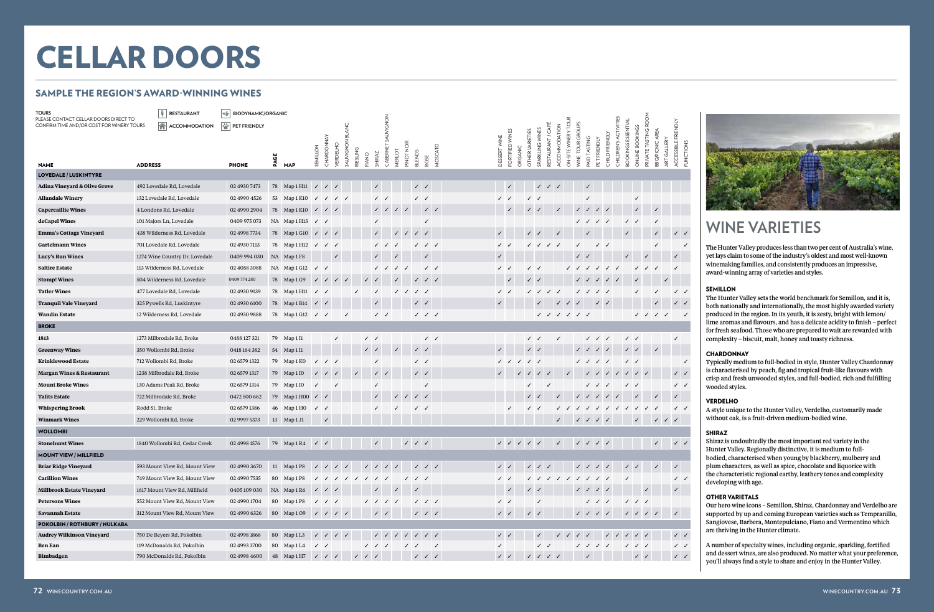

| RESTAURANT<br>TOURS<br>PLEASE CONTACT CELLAR DOORS DIRECT TO |                | $ \cdot _q$<br><b>BIODYNAMIC/ORGANIC</b> |                         |      |                                      |                           |                                                                                                                                                                                                                                                                                                                                                                                                                              |              |                                        |                                        |              |              |                                                                                               |                                        |              |                           |                 |                                                                                                             |                           |                                                                                                                                                                                                                                                                                                                                                                                                                               |               |                     |                              |                                        |                           |                       |                                              |                      |                              |                     |                             |
|--------------------------------------------------------------|----------------|------------------------------------------|-------------------------|------|--------------------------------------|---------------------------|------------------------------------------------------------------------------------------------------------------------------------------------------------------------------------------------------------------------------------------------------------------------------------------------------------------------------------------------------------------------------------------------------------------------------|--------------|----------------------------------------|----------------------------------------|--------------|--------------|-----------------------------------------------------------------------------------------------|----------------------------------------|--------------|---------------------------|-----------------|-------------------------------------------------------------------------------------------------------------|---------------------------|-------------------------------------------------------------------------------------------------------------------------------------------------------------------------------------------------------------------------------------------------------------------------------------------------------------------------------------------------------------------------------------------------------------------------------|---------------|---------------------|------------------------------|----------------------------------------|---------------------------|-----------------------|----------------------------------------------|----------------------|------------------------------|---------------------|-----------------------------|
| CONFIRM TIME AND/OR COST FOR WINERY TOURS                    |                | A ACCOMMODATION                          | <b>EXP</b> PET FRIENDLY |      |                                      |                           |                                                                                                                                                                                                                                                                                                                                                                                                                              |              |                                        |                                        | SAUVIGNON    |              |                                                                                               |                                        |              |                           |                 |                                                                                                             |                           |                                                                                                                                                                                                                                                                                                                                                                                                                               |               | ON-SITE WINERY TOUR |                              |                                        |                           | CHILDREN'S ACTIVITIES |                                              | PRIVATE TASTING ROOM |                              | ACCESSIBLE FRIENDLY |                             |
|                                                              |                |                                          |                         |      |                                      |                           |                                                                                                                                                                                                                                                                                                                                                                                                                              |              |                                        |                                        |              |              |                                                                                               |                                        |              |                           | FORTIFIED WINES | OTHER VARIETIES                                                                                             | SPARKLING WINES           | RESTAURANT / CAFÉ                                                                                                                                                                                                                                                                                                                                                                                                             | ACCOMMODATION |                     | WINE TOUR GROUPS             |                                        | CHILD FRIENDLY            |                       | <b>BOOKINGS ESSENTIAL</b><br>ONLINE BOOKINGS |                      | BBQ/PICNIC AREA              |                     |                             |
|                                                              |                |                                          |                         |      |                                      | SEMILLON                  | CHARDONNAY<br><b>VERDELHO</b>                                                                                                                                                                                                                                                                                                                                                                                                | SAUVIGNO     | RIESLING                               |                                        | CABERNET     |              | PINOT NOIR                                                                                    |                                        | MOSCATO      | DESSERT WINE              |                 | ORGANIC                                                                                                     |                           |                                                                                                                                                                                                                                                                                                                                                                                                                               |               |                     | <b>TASTING</b>               | PET FRIENDLY                           |                           |                       |                                              |                      | ART GALLERY                  |                     | <b>FUNCTIONS</b>            |
| <b>NAME</b>                                                  | <b>ADDRESS</b> |                                          | <b>PHONE</b>            | PAGE | <b>MAP</b>                           |                           |                                                                                                                                                                                                                                                                                                                                                                                                                              |              | FIANO                                  | SHIRAZ                                 |              | MERLOT       | <b>BLENDS</b>                                                                                 | ROSE                                   |              |                           |                 |                                                                                                             |                           |                                                                                                                                                                                                                                                                                                                                                                                                                               |               |                     | PAID                         |                                        |                           |                       |                                              |                      |                              |                     |                             |
| <b>LOVEDALE / LUSKINTYRE</b>                                 |                |                                          |                         |      |                                      |                           |                                                                                                                                                                                                                                                                                                                                                                                                                              |              |                                        |                                        |              |              |                                                                                               |                                        |              |                           |                 |                                                                                                             |                           |                                                                                                                                                                                                                                                                                                                                                                                                                               |               |                     |                              |                                        |                           |                       |                                              |                      |                              |                     |                             |
| <b>Adina Vineyard &amp; Olive Grove</b>                      |                | 492 Lovedale Rd, Lovedale                | 02 4930 7473            |      | 78 Map1H11 $\checkmark$ $\checkmark$ |                           | $\checkmark$                                                                                                                                                                                                                                                                                                                                                                                                                 |              |                                        | $\checkmark$                           |              |              |                                                                                               | $\checkmark$                           |              |                           |                 |                                                                                                             | $\checkmark$              | $\checkmark$                                                                                                                                                                                                                                                                                                                                                                                                                  | $\checkmark$  |                     |                              |                                        |                           |                       |                                              |                      |                              |                     |                             |
| <b>Allandale Winery</b>                                      |                | 132 Lovedale Rd, Lovedale                | 02 4990 4526            |      | 53 Map 1 K10                         | $\checkmark$              | $\checkmark$                                                                                                                                                                                                                                                                                                                                                                                                                 | $\checkmark$ |                                        |                                        | $\checkmark$ |              | $\checkmark$                                                                                  | $\checkmark$                           |              |                           |                 | $\checkmark$                                                                                                |                           |                                                                                                                                                                                                                                                                                                                                                                                                                               |               |                     |                              |                                        |                           |                       |                                              |                      |                              |                     |                             |
| <b>Capercaillie Wines</b>                                    |                | 4 Londons Rd, Lovedale                   | 02 4990 2904            |      | 78 Map 1 K10 /                       |                           | $\sqrt{2}$                                                                                                                                                                                                                                                                                                                                                                                                                   |              |                                        |                                        | $\checkmark$ | $\checkmark$ | $\checkmark$                                                                                  |                                        | $\sqrt{2}$   |                           |                 |                                                                                                             |                           |                                                                                                                                                                                                                                                                                                                                                                                                                               | $\checkmark$  |                     | $\checkmark$<br>$\checkmark$ | $\checkmark$                           |                           |                       |                                              |                      |                              |                     |                             |
| deCapel Wines                                                |                | 101 Majors Ln, Lovedale                  | 0409 975 073            |      | NA Map1H13 $\checkmark$ /            |                           |                                                                                                                                                                                                                                                                                                                                                                                                                              |              |                                        |                                        |              |              |                                                                                               | $\checkmark$                           |              |                           |                 |                                                                                                             |                           |                                                                                                                                                                                                                                                                                                                                                                                                                               |               |                     | $\checkmark$                 | $\checkmark$                           | $\checkmark$              |                       | $\checkmark$                                 |                      | $\checkmark$                 |                     |                             |
| <b>Emma's Cottage Vineyard</b>                               |                | 438 Wilderness Rd, Lovedale              | 02 4998 7734            |      | 78 Map 1 G10 √                       |                           | $\sqrt{2}$                                                                                                                                                                                                                                                                                                                                                                                                                   |              |                                        |                                        |              | $\checkmark$ |                                                                                               | $\checkmark$                           |              | $\checkmark$              |                 | $\checkmark$                                                                                                |                           |                                                                                                                                                                                                                                                                                                                                                                                                                               |               |                     |                              |                                        |                           |                       |                                              |                      | $\checkmark$                 |                     | $\checkmark$                |
| <b>Gartelmann Wines</b>                                      |                | 701 Lovedale Rd, Lovedale                | 02 4930 7113            |      | 78 Map 1 H12                         | $\checkmark$              | $\checkmark$                                                                                                                                                                                                                                                                                                                                                                                                                 |              |                                        |                                        |              |              |                                                                                               | $\checkmark$                           |              | $\checkmark$ $\checkmark$ |                 |                                                                                                             |                           | $\checkmark$                                                                                                                                                                                                                                                                                                                                                                                                                  |               |                     |                              | $\checkmark$                           |                           |                       |                                              |                      |                              |                     | $\checkmark$                |
| <b>Lucy's Run Wines</b>                                      |                | 1274 Wine Country Dr, Lovedale           | 0409 994 030            |      | NA Map1F8                            |                           |                                                                                                                                                                                                                                                                                                                                                                                                                              |              |                                        |                                        |              |              |                                                                                               |                                        |              | $\checkmark$              |                 |                                                                                                             |                           |                                                                                                                                                                                                                                                                                                                                                                                                                               |               |                     | $\checkmark$                 |                                        |                           |                       |                                              |                      |                              |                     |                             |
| <b>Saltire Estate</b>                                        |                | 113 Wilderness Rd, Lovedale              | 02 4058 3088            |      | NA Map 1 G12                         | $\checkmark$              |                                                                                                                                                                                                                                                                                                                                                                                                                              |              |                                        |                                        |              |              |                                                                                               |                                        | $\checkmark$ | $\checkmark$              |                 | $\checkmark$                                                                                                |                           |                                                                                                                                                                                                                                                                                                                                                                                                                               |               |                     |                              |                                        | $\checkmark$              |                       |                                              |                      |                              |                     |                             |
| <b>Stomp! Wines</b>                                          |                | 504 Wilderness Rd, Lovedale              | 0409 774 280            |      | 78 Map 1 G9                          | $\checkmark$              | $\sqrt{2}$                                                                                                                                                                                                                                                                                                                                                                                                                   |              |                                        |                                        |              |              |                                                                                               | $\checkmark$                           |              |                           | $\checkmark$    |                                                                                                             | $\checkmark$              |                                                                                                                                                                                                                                                                                                                                                                                                                               |               |                     |                              | $\checkmark$                           | $\sqrt{2}$                |                       |                                              |                      |                              |                     |                             |
| <b>Tatler Wines</b>                                          |                | 477 Lovedale Rd, Lovedale                | 02 4930 9139            |      | 78 Map 1 H11                         | $\checkmark$ $\checkmark$ |                                                                                                                                                                                                                                                                                                                                                                                                                              |              |                                        |                                        |              | $\checkmark$ | $\checkmark$                                                                                  | $\checkmark$                           |              | $\checkmark$              |                 |                                                                                                             | $\checkmark$              |                                                                                                                                                                                                                                                                                                                                                                                                                               | $\checkmark$  |                     | $\checkmark$                 |                                        | $\checkmark$ $\checkmark$ |                       |                                              |                      |                              |                     | $\checkmark$                |
| <b>Tranquil Vale Vineyard</b>                                |                | 325 Pywells Rd, Luskintyre               | 02 4930 6100            |      | 78 Map 1 B14 / /                     |                           |                                                                                                                                                                                                                                                                                                                                                                                                                              |              |                                        |                                        |              |              |                                                                                               | $\checkmark$                           |              |                           |                 |                                                                                                             |                           |                                                                                                                                                                                                                                                                                                                                                                                                                               |               | $\checkmark$        |                              |                                        | $\sqrt{2}$                |                       |                                              |                      |                              |                     | $\checkmark$                |
| <b>Wandin Estate</b>                                         |                | 12 Wilderness Rd, Lovedale               | 02 4930 9888            |      | 78 Map1G12 √ √                       |                           |                                                                                                                                                                                                                                                                                                                                                                                                                              | $\checkmark$ |                                        |                                        | $\checkmark$ |              |                                                                                               | $\sqrt{2}$                             |              |                           |                 |                                                                                                             |                           | $\checkmark$                                                                                                                                                                                                                                                                                                                                                                                                                  |               |                     | $\sqrt{2}$                   |                                        |                           |                       |                                              | $\checkmark$         | $\checkmark$<br>$\checkmark$ |                     | $\checkmark$                |
| <b>BROKE</b>                                                 |                |                                          |                         |      |                                      |                           |                                                                                                                                                                                                                                                                                                                                                                                                                              |              |                                        |                                        |              |              |                                                                                               |                                        |              |                           |                 |                                                                                                             |                           |                                                                                                                                                                                                                                                                                                                                                                                                                               |               |                     |                              |                                        |                           |                       |                                              |                      |                              |                     |                             |
| 1813                                                         |                | 1273 Milbrodale Rd, Broke                | 0488 127 321            |      | 79 Map 1 I1                          |                           | $\checkmark$                                                                                                                                                                                                                                                                                                                                                                                                                 |              |                                        | $\checkmark$                           |              |              |                                                                                               |                                        | $\checkmark$ |                           |                 |                                                                                                             | $\checkmark$              |                                                                                                                                                                                                                                                                                                                                                                                                                               | $\checkmark$  |                     |                              | $\checkmark$                           | $\checkmark$              |                       | $\checkmark$                                 |                      |                              |                     |                             |
| <b>Greenway Wines</b>                                        |                | 350 Wollombi Rd, Broke                   | 0418 164 382            |      | 54 Map 1 I1                          |                           |                                                                                                                                                                                                                                                                                                                                                                                                                              |              |                                        | $\checkmark$                           |              | $\checkmark$ |                                                                                               | $\checkmark$                           |              | $\checkmark$              |                 |                                                                                                             | $\checkmark$              |                                                                                                                                                                                                                                                                                                                                                                                                                               |               |                     |                              | $\checkmark$                           | $\checkmark$              |                       | $\checkmark$                                 |                      | $\checkmark$                 |                     |                             |
| <b>Krinklewood Estate</b>                                    |                | 712 Wollombi Rd, Broke                   | 02 6579 1322            |      | 79 Map 1 KO                          | $\checkmark$              | $\checkmark$                                                                                                                                                                                                                                                                                                                                                                                                                 |              |                                        | ✓                                      |              |              |                                                                                               | $\checkmark$                           |              |                           |                 |                                                                                                             | $\checkmark$              |                                                                                                                                                                                                                                                                                                                                                                                                                               |               |                     | $\checkmark$                 | $\checkmark$                           |                           |                       | $\checkmark$<br>$\checkmark$                 |                      |                              |                     | $\checkmark$                |
| <b>Margan Wines &amp; Restaurant</b>                         |                | 1238 Milbrodale Rd, Broke                | 02 6579 1317            |      | 79 Map 1 IO                          | $\checkmark$              | $\checkmark$<br>$\checkmark$                                                                                                                                                                                                                                                                                                                                                                                                 |              | $\checkmark$                           |                                        | $\checkmark$ |              |                                                                                               | $\checkmark$                           |              | $\checkmark$              |                 | $\checkmark$                                                                                                | $\checkmark$              |                                                                                                                                                                                                                                                                                                                                                                                                                               |               | $\checkmark$        |                              |                                        |                           |                       | $\sqrt{2}$                                   | $\sqrt{2}$           |                              |                     | $\checkmark$                |
| <b>Mount Broke Wines</b>                                     |                | 130 Adams Peak Rd, Broke                 | 02 6579 1314            |      | 79 Map 1 IO                          |                           | $\checkmark$                                                                                                                                                                                                                                                                                                                                                                                                                 |              |                                        | ✓                                      |              |              |                                                                                               | $\checkmark$                           |              |                           |                 | $\checkmark$                                                                                                |                           |                                                                                                                                                                                                                                                                                                                                                                                                                               |               |                     |                              | $\sqrt{2}$                             |                           |                       | $\checkmark$                                 |                      |                              |                     | $\checkmark$                |
| <b>Talits Estate</b>                                         |                | 722 Milbrodale Rd, Broke                 | 0472 500 662            |      | 79 Map1H00 / /                       |                           |                                                                                                                                                                                                                                                                                                                                                                                                                              |              |                                        | $\checkmark$                           |              | $\checkmark$ |                                                                                               | $\checkmark$ $\checkmark$              |              |                           |                 |                                                                                                             | $\checkmark$ $\checkmark$ |                                                                                                                                                                                                                                                                                                                                                                                                                               |               |                     |                              | $\checkmark$                           | $\checkmark$              |                       |                                              |                      | $\checkmark$                 |                     |                             |
| <b>Whispering Brook</b>                                      | Rodd St, Broke |                                          | 02 6579 1386            |      | 46 Map 1 HO                          | $\checkmark$              |                                                                                                                                                                                                                                                                                                                                                                                                                              |              |                                        |                                        |              |              |                                                                                               | $\checkmark$                           |              |                           |                 |                                                                                                             | $\checkmark$              |                                                                                                                                                                                                                                                                                                                                                                                                                               |               |                     |                              |                                        |                           |                       | $\overline{\mathcal{L}}$<br>$\checkmark$     |                      |                              |                     | $\checkmark$                |
| <b>Winmark Wines</b>                                         |                | 229 Wollombi Rd, Broke                   | 02 9997 5373            |      | 13 Map 1 J1                          |                           | $\checkmark$                                                                                                                                                                                                                                                                                                                                                                                                                 |              |                                        |                                        |              |              |                                                                                               |                                        |              |                           |                 |                                                                                                             |                           |                                                                                                                                                                                                                                                                                                                                                                                                                               | $\checkmark$  |                     | $\checkmark$                 | $\sqrt{2}$                             |                           |                       | $\checkmark$                                 |                      | $\checkmark$                 | $\sqrt{2}$          |                             |
| <b>WOLLOMBI</b>                                              |                |                                          |                         |      |                                      |                           |                                                                                                                                                                                                                                                                                                                                                                                                                              |              |                                        |                                        |              |              |                                                                                               |                                        |              |                           |                 |                                                                                                             |                           |                                                                                                                                                                                                                                                                                                                                                                                                                               |               |                     |                              |                                        |                           |                       |                                              |                      |                              |                     |                             |
| <b>Stonehurst Wines</b>                                      |                | 1840 Wollombi Rd, Cedar Creek            | 02 4998 1576            |      | 79 Map 1 R4                          | $\checkmark$              |                                                                                                                                                                                                                                                                                                                                                                                                                              |              |                                        | $\checkmark$                           |              |              | $\sqrt{2}$                                                                                    |                                        |              |                           |                 | $\begin{array}{cccccccccccccc} \swarrow & \swarrow & \swarrow & \swarrow & \swarrow & \swarrow \end{array}$ |                           |                                                                                                                                                                                                                                                                                                                                                                                                                               | $\checkmark$  |                     | $\sqrt{2}$                   |                                        |                           |                       |                                              |                      | $\checkmark$                 |                     | $\checkmark$ $\checkmark$   |
| MOUNT VIEW / MILLFIELD                                       |                |                                          |                         |      |                                      |                           |                                                                                                                                                                                                                                                                                                                                                                                                                              |              |                                        |                                        |              |              |                                                                                               |                                        |              |                           |                 |                                                                                                             |                           |                                                                                                                                                                                                                                                                                                                                                                                                                               |               |                     |                              |                                        |                           |                       |                                              |                      |                              |                     |                             |
| <b>Briar Ridge Vineyard</b>                                  |                | 593 Mount View Rd, Mount View            | 02 4990 3670            |      | 11 Map 1 P8                          |                           | $\sqrt{2}$                                                                                                                                                                                                                                                                                                                                                                                                                   |              |                                        |                                        | $\sqrt{2}$   |              |                                                                                               | $\checkmark$ $\checkmark$ $\checkmark$ |              | $\sqrt{2}$                |                 |                                                                                                             | $\sqrt{2}$                |                                                                                                                                                                                                                                                                                                                                                                                                                               |               |                     | $J$ $J$ $J$ $J$              |                                        |                           |                       | $\sqrt{2}$                                   |                      | $\checkmark$                 | $\checkmark$        |                             |
| <b>Carillion Wines</b>                                       |                | 749 Mount View Rd, Mount View            | 02 4990 7535            |      | 80 Map 1 P8                          |                           |                                                                                                                                                                                                                                                                                                                                                                                                                              |              | V V V V V V V                          |                                        |              |              | $\checkmark$ $\checkmark$ $\checkmark$                                                        |                                        |              | $\checkmark$              |                 |                                                                                                             |                           |                                                                                                                                                                                                                                                                                                                                                                                                                               |               |                     | V V V V V V V V              |                                        |                           |                       | $\checkmark$                                 |                      |                              |                     | $\checkmark$                |
| <b>Millbrook Estate Vineyard</b>                             |                | 1617 Mount View Rd, Millfield            | 0405109030              |      | NA Map1R6                            | $\checkmark$              | $\sqrt{2}$                                                                                                                                                                                                                                                                                                                                                                                                                   |              |                                        |                                        |              |              |                                                                                               |                                        |              |                           |                 |                                                                                                             | $\sqrt{2}$                |                                                                                                                                                                                                                                                                                                                                                                                                                               |               |                     | $\sqrt{2}$                   |                                        |                           |                       |                                              | $\checkmark$         |                              |                     |                             |
| <b>Petersons Wines</b>                                       |                | 552 Mount View Rd, Mount View            | 02 4990 1704            |      | 80 Map 1 P8                          |                           | $\sqrt{2}$                                                                                                                                                                                                                                                                                                                                                                                                                   |              |                                        | $\checkmark$ $\checkmark$ $\checkmark$ |              | $\checkmark$ |                                                                                               | $\sqrt{2}$                             |              | $\checkmark$              |                 |                                                                                                             | √                         |                                                                                                                                                                                                                                                                                                                                                                                                                               |               |                     |                              | $\checkmark$ $\checkmark$ $\checkmark$ |                           |                       | $\checkmark$ $\checkmark$ $\checkmark$       |                      |                              |                     |                             |
| <b>Savannah Estate</b>                                       |                | 312 Mount View Rd, Mount View            | 02 4990 6326            |      | 80 Map 109                           |                           | $\sqrt{2}$                                                                                                                                                                                                                                                                                                                                                                                                                   |              |                                        |                                        | $\checkmark$ |              |                                                                                               | $\checkmark$ $\checkmark$ $\checkmark$ |              | $\checkmark$              |                 |                                                                                                             | $\checkmark$ $\checkmark$ |                                                                                                                                                                                                                                                                                                                                                                                                                               |               |                     | $\sqrt{2}$                   |                                        |                           |                       |                                              | $\sqrt{2}$           |                              | $\checkmark$        |                             |
| POKOLBIN / ROTHBURY / NULKABA                                |                |                                          |                         |      |                                      |                           |                                                                                                                                                                                                                                                                                                                                                                                                                              |              |                                        |                                        |              |              |                                                                                               |                                        |              |                           |                 |                                                                                                             |                           |                                                                                                                                                                                                                                                                                                                                                                                                                               |               |                     |                              |                                        |                           |                       |                                              |                      |                              |                     |                             |
| <b>Audrey Wilkinson Vineyard</b>                             |                | 750 De Beyers Rd, Pokolbin               | 02 4998 1866            |      | 80 Map 1L3                           |                           | $\begin{array}{ccccccccc}\n\sqrt{2} & \sqrt{2} & \sqrt{2} & \sqrt{2} & \sqrt{2} & \sqrt{2} & \sqrt{2} & \sqrt{2} & \sqrt{2} & \sqrt{2} & \sqrt{2} & \sqrt{2} & \sqrt{2} & \sqrt{2} & \sqrt{2} & \sqrt{2} & \sqrt{2} & \sqrt{2} & \sqrt{2} & \sqrt{2} & \sqrt{2} & \sqrt{2} & \sqrt{2} & \sqrt{2} & \sqrt{2} & \sqrt{2} & \sqrt{2} & \sqrt{2} & \sqrt{2} & \sqrt{2} & \sqrt{2} & \sqrt{2} & \sqrt{2} & \sqrt{2} & \sqrt{2} &$ |              |                                        |                                        | $\checkmark$ |              | $\begin{array}{ccccccccc} & \swarrow & \swarrow & \swarrow & \swarrow & \swarrow \end{array}$ |                                        |              | $\checkmark$ $\checkmark$ |                 |                                                                                                             | $\checkmark$              |                                                                                                                                                                                                                                                                                                                                                                                                                               | $\checkmark$  |                     | $\checkmark$ $\checkmark$    |                                        | $\checkmark$ $\checkmark$ |                       | $\sqrt{2}$                                   |                      |                              |                     | $\checkmark$ $\checkmark$   |
| <b>Ben Ean</b>                                               |                | 119 McDonalds Rd, Pokolbin               | 02 4993 3700            |      | 80 Map 1L4                           | $\checkmark$              |                                                                                                                                                                                                                                                                                                                                                                                                                              |              |                                        | $\checkmark$ $\checkmark$ $\checkmark$ |              |              | $\checkmark$                                                                                  |                                        | $\checkmark$ | $\checkmark$              |                 |                                                                                                             |                           | $\checkmark$                                                                                                                                                                                                                                                                                                                                                                                                                  |               |                     | $\sqrt{2}$                   |                                        |                           |                       | $\checkmark$ $\checkmark$ $\checkmark$       |                      |                              |                     | $\checkmark$                |
| Bimbadgen                                                    |                | 790 McDonalds Rd, Pokolbin               | 02 4998 4600            |      | 48 Map 1 H7 / / /                    |                           |                                                                                                                                                                                                                                                                                                                                                                                                                              |              | $\checkmark$ $\checkmark$ $\checkmark$ |                                        |              |              |                                                                                               | $\checkmark$ $\checkmark$ $\checkmark$ |              | $\checkmark$              |                 |                                                                                                             |                           | $\begin{array}{ccccccccc} \sqrt{2} & \sqrt{2} & \sqrt{2} & \sqrt{2} & \sqrt{2} & \sqrt{2} & \sqrt{2} & \sqrt{2} & \sqrt{2} & \sqrt{2} & \sqrt{2} & \sqrt{2} & \sqrt{2} & \sqrt{2} & \sqrt{2} & \sqrt{2} & \sqrt{2} & \sqrt{2} & \sqrt{2} & \sqrt{2} & \sqrt{2} & \sqrt{2} & \sqrt{2} & \sqrt{2} & \sqrt{2} & \sqrt{2} & \sqrt{2} & \sqrt{2} & \sqrt{2} & \sqrt{2} & \sqrt{2} & \sqrt{2} & \sqrt{2} & \sqrt{2} & \sqrt{2} & \$ |               |                     | $\checkmark$                 |                                        |                           |                       |                                              | $\checkmark$         |                              |                     | $\checkmark$ ) $\checkmark$ |

# **WINE VARIETIES**

The Hunter Valley produces less than two per cent of Australia's wine, yet lays claim to some of the industry's oldest and most well-known winemaking families, and consistently produces an impressive, award-winning array of varieties and styles.

#### SEMILLON

The Hunter Valley sets the world benchmark for Semillon, and it is, both nationally and internationally, the most highly awarded variety produced in the region. In its youth, it is zesty, bright with lemon/ lime aromas and flavours, and has a delicate acidity to finish – perfect for fresh seafood. Those who are prepared to wait are rewarded with complexity – biscuit, malt, honey and toasty richness.

### **CHARDONNAY**

Typically medium to full-bodied in style, Hunter Valley Chardonnay is characterised by peach, fig and tropical fruit-like flavours with crisp and fresh unwooded styles, and full-bodied, rich and fulfilling wooded styles.

### VERDELHO

A style unique to the Hunter Valley, Verdelho, customarily made without oak, is a fruit-driven medium-bodied wine.

#### SHIRAZ

Shiraz is undoubtedly the most important red variety in the Hunter Valley. Regionally distinctive, it is medium to fullbodied, characterised when young by blackberry, mulberry and plum characters, as well as spice, chocolate and liquorice with the characteristic regional earthy, leathery tones and complexity developing with age.

### OTHER VARIETALS

Our hero wine icons – Semillon, Shiraz, Chardonnay and Verdelho are supported by up and coming European varieties such as Tempranillo, Sangiovese, Barbera, Montepulciano, Fiano and Vermentino which are thriving in the Hunter climate.

A number of specialty wines, including organic, sparkling, fortified and dessert wines, are also produced. No matter what your preference, you'll always find a style to share and enjoy in the Hunter Valley.

# SAMPLE THE REGION'S AWARD-WINNING WINES

# CELLAR DOORS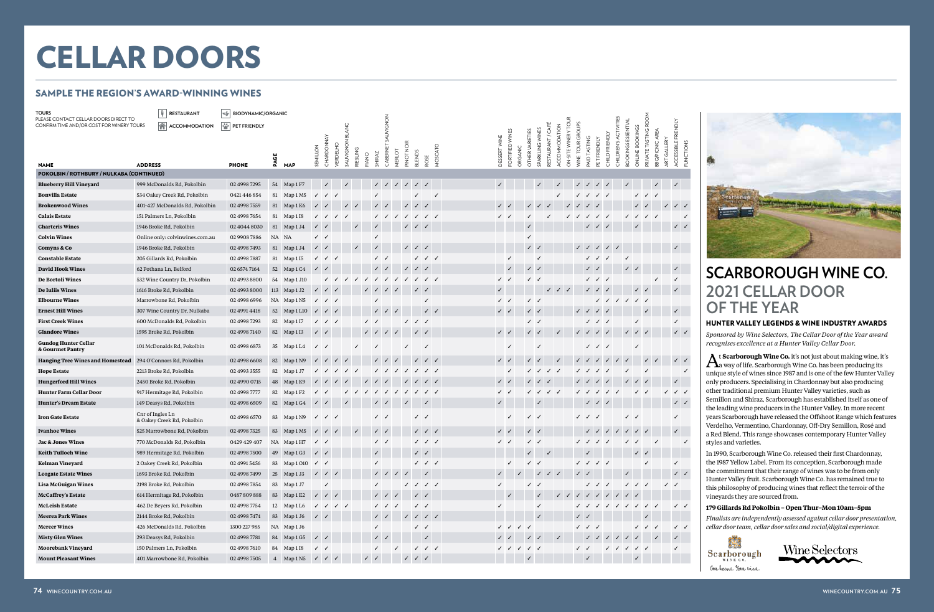At **Scarborough Wine Co.** it's not just about making wine, it's a way of life. Scarborough Wine Co. has been producing its unique style of wines since 1987 and is one of the few Hunter Valley only producers. Specialising in Chardonnay but also producing other traditional premium Hunter Valley varieties, such as Semillon and Shiraz, Scarborough has established itself as one of the leading wine producers in the Hunter Valley. In more recent years Scarborough have released the Offshoot Range which features Verdelho, Vermentino, Chardonnay, Off-Dry Semillon, Rosé and a Red Blend. This range showcases contemporary Hunter Valley styles and varieties.

| TOURS                                                                              | RESTAURANT                                     | $ \mathcal{C}^A_{\mathscr{U}} $<br><b>BIODYNAMIC/ORGANIC</b> |    |                                                   |                           |                                                                                                                                                                                                                                                                                                                                                                                                                               |              |              |                           |                                                                                                                                                                                                                                                                                                                                                                                                                               |              |                                                                       |                                        |                                                                                                                                                                                            |              |                                                                                                                                                                                                                                                                                                                                                                                                                               |                            |                 |                                                                                                                                                                                                                                                                                                                                                                                                                                   |                                        |                  |                                                     |                                        |                            |                   |                                        |                              |              |                           |
|------------------------------------------------------------------------------------|------------------------------------------------|--------------------------------------------------------------|----|---------------------------------------------------|---------------------------|-------------------------------------------------------------------------------------------------------------------------------------------------------------------------------------------------------------------------------------------------------------------------------------------------------------------------------------------------------------------------------------------------------------------------------|--------------|--------------|---------------------------|-------------------------------------------------------------------------------------------------------------------------------------------------------------------------------------------------------------------------------------------------------------------------------------------------------------------------------------------------------------------------------------------------------------------------------|--------------|-----------------------------------------------------------------------|----------------------------------------|--------------------------------------------------------------------------------------------------------------------------------------------------------------------------------------------|--------------|-------------------------------------------------------------------------------------------------------------------------------------------------------------------------------------------------------------------------------------------------------------------------------------------------------------------------------------------------------------------------------------------------------------------------------|----------------------------|-----------------|-----------------------------------------------------------------------------------------------------------------------------------------------------------------------------------------------------------------------------------------------------------------------------------------------------------------------------------------------------------------------------------------------------------------------------------|----------------------------------------|------------------|-----------------------------------------------------|----------------------------------------|----------------------------|-------------------|----------------------------------------|------------------------------|--------------|---------------------------|
| PLEASE CONTACT CELLAR DOORS DIRECT TO<br>CONFIRM TIME AND/OR COST FOR WINERY TOURS | A ACCOMMODATION                                | PET FRIENDLY                                                 |    |                                                   |                           |                                                                                                                                                                                                                                                                                                                                                                                                                               |              |              |                           |                                                                                                                                                                                                                                                                                                                                                                                                                               |              |                                                                       |                                        |                                                                                                                                                                                            |              |                                                                                                                                                                                                                                                                                                                                                                                                                               |                            |                 |                                                                                                                                                                                                                                                                                                                                                                                                                                   |                                        |                  |                                                     |                                        |                            |                   |                                        |                              |              |                           |
|                                                                                    |                                                |                                                              |    |                                                   |                           |                                                                                                                                                                                                                                                                                                                                                                                                                               |              |              |                           | SAUVIGNON                                                                                                                                                                                                                                                                                                                                                                                                                     |              |                                                                       |                                        |                                                                                                                                                                                            |              |                                                                                                                                                                                                                                                                                                                                                                                                                               |                            |                 | RESTAURANT / CAFÉ                                                                                                                                                                                                                                                                                                                                                                                                                 | ON-SITE WINERY TOUR<br>ACCOMMODATION   | WINE TOUR GROUPS |                                                     |                                        | CHILDREN'S ACTIVITIES      | BOOKINGS ESSENTIA | ONLINE BOOKINGS                        | PRIVATE TASTING ROOM         |              | ACCESSIBLE FRIENDLY       |
|                                                                                    |                                                |                                                              |    |                                                   |                           |                                                                                                                                                                                                                                                                                                                                                                                                                               |              |              |                           |                                                                                                                                                                                                                                                                                                                                                                                                                               |              |                                                                       |                                        |                                                                                                                                                                                            |              |                                                                                                                                                                                                                                                                                                                                                                                                                               |                            |                 |                                                                                                                                                                                                                                                                                                                                                                                                                                   |                                        |                  | <b>TASTING</b>                                      |                                        |                            |                   |                                        |                              | GALLERY      |                           |
|                                                                                    |                                                |                                                              | ଞ  |                                                   | SEMILLON                  | CHARDONNAY<br><b>VERDELHO</b>                                                                                                                                                                                                                                                                                                                                                                                                 | SAUVIGNON    | RIESLING     | SHIRAZ<br>FIANO           | CABERNET                                                                                                                                                                                                                                                                                                                                                                                                                      | MERLOT       | PINOT NOIR                                                            | <b>BLENDS</b>                          | MOSCATO                                                                                                                                                                                    | DESSERT WINE | FORTIFIED WINES                                                                                                                                                                                                                                                                                                                                                                                                               | OTHER VARIETIES<br>ORGANIC | SPARKLING WINES |                                                                                                                                                                                                                                                                                                                                                                                                                                   |                                        |                  |                                                     | PET FRIENDLY                           | CHILD FRIENDLY             |                   |                                        | BBQ/PICNIC AREA              |              | <b>FUNCTIONS</b>          |
| <b>NAME</b>                                                                        | <b>ADDRESS</b>                                 | <b>PHONE</b>                                                 | Ã  | <b>MAP</b>                                        |                           |                                                                                                                                                                                                                                                                                                                                                                                                                               |              |              |                           |                                                                                                                                                                                                                                                                                                                                                                                                                               |              |                                                                       | ROSE                                   |                                                                                                                                                                                            |              |                                                                                                                                                                                                                                                                                                                                                                                                                               |                            |                 |                                                                                                                                                                                                                                                                                                                                                                                                                                   |                                        |                  | PAID                                                |                                        |                            |                   |                                        |                              | ART          |                           |
| POKOLBIN / ROTHBURY / NULKABA (CONTINUED)                                          |                                                |                                                              |    |                                                   |                           |                                                                                                                                                                                                                                                                                                                                                                                                                               |              |              |                           |                                                                                                                                                                                                                                                                                                                                                                                                                               |              |                                                                       |                                        |                                                                                                                                                                                            |              |                                                                                                                                                                                                                                                                                                                                                                                                                               |                            |                 |                                                                                                                                                                                                                                                                                                                                                                                                                                   |                                        |                  |                                                     |                                        |                            |                   |                                        |                              |              |                           |
| <b>Blueberry Hill Vineyard</b>                                                     | 999 McDonalds Rd, Pokolbin                     | 02 4998 7295                                                 |    | 54 Map 1 F7                                       |                           | $\checkmark$                                                                                                                                                                                                                                                                                                                                                                                                                  | $\checkmark$ |              |                           | $\checkmark$                                                                                                                                                                                                                                                                                                                                                                                                                  | $\checkmark$ | $\sqrt{ }$                                                            | $\checkmark$<br>$\checkmark$           |                                                                                                                                                                                            |              |                                                                                                                                                                                                                                                                                                                                                                                                                               |                            | $\checkmark$    |                                                                                                                                                                                                                                                                                                                                                                                                                                   |                                        |                  | $\checkmark$                                        | $\checkmark$                           |                            |                   |                                        | $\checkmark$                 |              | $\checkmark$              |
| <b>Bonvilla Estate</b>                                                             | 534 Oakey Creek Rd, Pokolbin                   | 0421446854                                                   |    | 81 Map 1 M5                                       |                           | $\checkmark$                                                                                                                                                                                                                                                                                                                                                                                                                  |              |              |                           |                                                                                                                                                                                                                                                                                                                                                                                                                               |              |                                                                       |                                        | $\checkmark$                                                                                                                                                                               |              |                                                                                                                                                                                                                                                                                                                                                                                                                               |                            |                 |                                                                                                                                                                                                                                                                                                                                                                                                                                   |                                        |                  |                                                     | $\checkmark$                           |                            |                   | ✓                                      | $\checkmark$                 |              |                           |
| <b>Brokenwood Wines</b>                                                            | 401-427 McDonalds Rd, Pokolbin                 | 02 4998 7559                                                 |    | 81 Map 1 K6                                       |                           | ✓                                                                                                                                                                                                                                                                                                                                                                                                                             |              | $\checkmark$ |                           | $\checkmark$                                                                                                                                                                                                                                                                                                                                                                                                                  |              | $\checkmark$<br>$\checkmark$                                          |                                        |                                                                                                                                                                                            |              |                                                                                                                                                                                                                                                                                                                                                                                                                               | $\checkmark$               |                 |                                                                                                                                                                                                                                                                                                                                                                                                                                   |                                        |                  |                                                     |                                        |                            |                   |                                        |                              |              | $\sqrt{2}$                |
| <b>Calais Estate</b>                                                               | 151 Palmers Ln, Pokolbin                       | 02 4998 7654                                                 |    | 81 Map 1 I8                                       | $\checkmark$              | ✓                                                                                                                                                                                                                                                                                                                                                                                                                             |              |              |                           | $\checkmark$                                                                                                                                                                                                                                                                                                                                                                                                                  |              |                                                                       | $\checkmark$                           | $\checkmark$ $\checkmark$                                                                                                                                                                  | $\checkmark$ |                                                                                                                                                                                                                                                                                                                                                                                                                               |                            |                 |                                                                                                                                                                                                                                                                                                                                                                                                                                   |                                        | $\checkmark$     |                                                     | $\checkmark$                           |                            |                   | $\checkmark$                           |                              |              |                           |
| <b>Charteris Wines</b>                                                             | 1946 Broke Rd, Pokolbin                        | 02 4044 8030                                                 |    | 81 Map 1 J4                                       | $\checkmark$ $\checkmark$ |                                                                                                                                                                                                                                                                                                                                                                                                                               |              | $\checkmark$ |                           |                                                                                                                                                                                                                                                                                                                                                                                                                               |              | $\sqrt{2}$                                                            | $\checkmark$                           |                                                                                                                                                                                            |              |                                                                                                                                                                                                                                                                                                                                                                                                                               |                            |                 |                                                                                                                                                                                                                                                                                                                                                                                                                                   |                                        |                  |                                                     | $\checkmark$                           | $\checkmark$               |                   |                                        |                              |              | $\checkmark$ $\checkmark$ |
| <b>Colvin Wines</b>                                                                | Online only: colvinwines.com.au                | 02 9908 7886                                                 |    | NA NA                                             | $\checkmark$              |                                                                                                                                                                                                                                                                                                                                                                                                                               |              |              | ✓                         |                                                                                                                                                                                                                                                                                                                                                                                                                               |              |                                                                       |                                        |                                                                                                                                                                                            |              |                                                                                                                                                                                                                                                                                                                                                                                                                               | $\checkmark$               |                 |                                                                                                                                                                                                                                                                                                                                                                                                                                   |                                        |                  |                                                     |                                        |                            |                   |                                        |                              |              |                           |
| Comyns & Co                                                                        | 1946 Broke Rd, Pokolbin                        | 02 4998 7493                                                 |    | 81 Map 1 J4                                       | $\sqrt{2}$                |                                                                                                                                                                                                                                                                                                                                                                                                                               |              | $\checkmark$ | $\checkmark$              |                                                                                                                                                                                                                                                                                                                                                                                                                               |              | $\checkmark$ $\checkmark$ $\checkmark$                                |                                        |                                                                                                                                                                                            |              |                                                                                                                                                                                                                                                                                                                                                                                                                               |                            | $\checkmark$    |                                                                                                                                                                                                                                                                                                                                                                                                                                   |                                        |                  | $\checkmark$                                        | $\checkmark$                           | $\mathcal{L}$              |                   |                                        |                              |              |                           |
| <b>Constable Estate</b>                                                            | 205 Gillards Rd, Pokolbin                      | 02 4998 7887                                                 |    | 81 Map 1 I5                                       | $\checkmark$              | $\checkmark$                                                                                                                                                                                                                                                                                                                                                                                                                  |              |              |                           | $\checkmark$                                                                                                                                                                                                                                                                                                                                                                                                                  |              |                                                                       | $\checkmark$ $\checkmark$ $\checkmark$ |                                                                                                                                                                                            |              | ✓                                                                                                                                                                                                                                                                                                                                                                                                                             |                            | $\checkmark$    |                                                                                                                                                                                                                                                                                                                                                                                                                                   |                                        |                  |                                                     | $\checkmark$                           |                            |                   |                                        |                              |              |                           |
| <b>David Hook Wines</b>                                                            | 62 Pothana Ln, Belford                         | 02 6574 7164                                                 |    | 52 Map 1 C4                                       | $\checkmark$              | $\checkmark$                                                                                                                                                                                                                                                                                                                                                                                                                  |              |              |                           | $\checkmark$                                                                                                                                                                                                                                                                                                                                                                                                                  |              | $\checkmark$                                                          |                                        |                                                                                                                                                                                            |              |                                                                                                                                                                                                                                                                                                                                                                                                                               | $\checkmark$               | $\checkmark$    |                                                                                                                                                                                                                                                                                                                                                                                                                                   |                                        |                  |                                                     |                                        |                            |                   |                                        |                              |              |                           |
| De Bortoli Wines                                                                   | 532 Wine Country Dr, Pokolbin                  | 02 4993 8800                                                 |    | 54 Map 1 J10                                      |                           |                                                                                                                                                                                                                                                                                                                                                                                                                               |              |              |                           |                                                                                                                                                                                                                                                                                                                                                                                                                               |              |                                                                       | $\checkmark$                           |                                                                                                                                                                                            | $\checkmark$ |                                                                                                                                                                                                                                                                                                                                                                                                                               | $\checkmark$               | $\checkmark$    |                                                                                                                                                                                                                                                                                                                                                                                                                                   |                                        |                  |                                                     | $\checkmark$                           |                            |                   |                                        |                              |              |                           |
| De Iuliis Wines                                                                    | 1616 Broke Rd, Pokolbin                        | 02 4993 8000                                                 |    | 113 $Map 1 J2$                                    |                           | $\checkmark$                                                                                                                                                                                                                                                                                                                                                                                                                  |              |              |                           |                                                                                                                                                                                                                                                                                                                                                                                                                               |              |                                                                       |                                        |                                                                                                                                                                                            |              |                                                                                                                                                                                                                                                                                                                                                                                                                               |                            |                 |                                                                                                                                                                                                                                                                                                                                                                                                                                   | $\checkmark$ $\checkmark$ $\checkmark$ |                  |                                                     | $\checkmark$                           |                            |                   | $\checkmark$                           | $\checkmark$                 |              |                           |
| <b>Elbourne Wines</b>                                                              | Marrowbone Rd, Pokolbin                        | 02 4998 6996                                                 |    | NA Map 1 N5                                       | $\checkmark$              | $\checkmark$                                                                                                                                                                                                                                                                                                                                                                                                                  |              |              |                           |                                                                                                                                                                                                                                                                                                                                                                                                                               |              |                                                                       | ✓                                      |                                                                                                                                                                                            | $\checkmark$ |                                                                                                                                                                                                                                                                                                                                                                                                                               |                            | $\checkmark$    |                                                                                                                                                                                                                                                                                                                                                                                                                                   |                                        |                  |                                                     | $\checkmark$                           |                            |                   | $\checkmark$                           |                              |              |                           |
| <b>Ernest Hill Wines</b>                                                           | 307 Wine Country Dr, Nulkaba                   | 02 4991 4418                                                 |    | 52 Map 1 L10                                      |                           | $\checkmark$                                                                                                                                                                                                                                                                                                                                                                                                                  |              |              |                           | $\checkmark$                                                                                                                                                                                                                                                                                                                                                                                                                  |              |                                                                       |                                        | $\checkmark$                                                                                                                                                                               | $\checkmark$ |                                                                                                                                                                                                                                                                                                                                                                                                                               |                            | $\checkmark$    |                                                                                                                                                                                                                                                                                                                                                                                                                                   |                                        |                  |                                                     |                                        |                            |                   |                                        |                              |              | $\checkmark$              |
| <b>First Creek Wines</b>                                                           | 600 McDonalds Rd, Pokolbin                     | 02 4998 7293                                                 |    | 82 Map 1 I7                                       |                           | $\checkmark$                                                                                                                                                                                                                                                                                                                                                                                                                  |              |              |                           |                                                                                                                                                                                                                                                                                                                                                                                                                               |              |                                                                       | ✓                                      |                                                                                                                                                                                            |              |                                                                                                                                                                                                                                                                                                                                                                                                                               |                            | $\checkmark$    |                                                                                                                                                                                                                                                                                                                                                                                                                                   |                                        |                  |                                                     | $\checkmark$                           |                            |                   |                                        |                              |              | ✓                         |
| <b>Glandore Wines</b>                                                              | 1595 Broke Rd, Pokolbin                        | 02 4998 7140                                                 |    | 82 Map 1 I3                                       | $\sqrt{2}$                |                                                                                                                                                                                                                                                                                                                                                                                                                               |              |              |                           |                                                                                                                                                                                                                                                                                                                                                                                                                               | $\checkmark$ |                                                                       | $\checkmark$                           |                                                                                                                                                                                            | $\checkmark$ |                                                                                                                                                                                                                                                                                                                                                                                                                               |                            | $\checkmark$    |                                                                                                                                                                                                                                                                                                                                                                                                                                   | $\checkmark$                           |                  |                                                     | $\checkmark$                           | $\checkmark$               | $\checkmark$      | $\checkmark$                           |                              |              | $\checkmark$ $\checkmark$ |
| <b>Gundog Hunter Cellar</b><br>& Gourmet Pantry                                    | 101 McDonalds Rd, Pokolbin                     | 02 4998 6873                                                 |    | 35 Map 1 L4                                       | $\checkmark$ $\checkmark$ |                                                                                                                                                                                                                                                                                                                                                                                                                               |              |              |                           |                                                                                                                                                                                                                                                                                                                                                                                                                               |              |                                                                       | $\checkmark$                           |                                                                                                                                                                                            |              | $\checkmark$                                                                                                                                                                                                                                                                                                                                                                                                                  |                            |                 |                                                                                                                                                                                                                                                                                                                                                                                                                                   |                                        |                  |                                                     | $\checkmark$                           |                            |                   |                                        |                              |              |                           |
| <b>Hanging Tree Wines and Homestead</b>                                            | 294 O'Connors Rd, Pokolbin                     | 02 4998 6608                                                 |    | 82 Map 1 N9                                       | $\checkmark$              | $\checkmark$<br>$\checkmark$                                                                                                                                                                                                                                                                                                                                                                                                  | $\checkmark$ |              |                           | $\checkmark$                                                                                                                                                                                                                                                                                                                                                                                                                  |              |                                                                       |                                        | $\checkmark$                                                                                                                                                                               | $\checkmark$ |                                                                                                                                                                                                                                                                                                                                                                                                                               | $\checkmark$               |                 |                                                                                                                                                                                                                                                                                                                                                                                                                                   | $\checkmark$                           |                  |                                                     |                                        | $\checkmark$               |                   |                                        | $\checkmark$<br>$\checkmark$ |              | $\sqrt{2}$                |
| <b>Hope Estate</b>                                                                 | 2213 Broke Rd, Pokolbin                        | 02 4993 3555                                                 |    | 82 Map 1 J7                                       |                           |                                                                                                                                                                                                                                                                                                                                                                                                                               |              |              |                           |                                                                                                                                                                                                                                                                                                                                                                                                                               |              |                                                                       |                                        |                                                                                                                                                                                            |              | $\checkmark$                                                                                                                                                                                                                                                                                                                                                                                                                  |                            | $\checkmark$    | $\checkmark$                                                                                                                                                                                                                                                                                                                                                                                                                      |                                        |                  |                                                     |                                        |                            |                   |                                        |                              |              | ✓                         |
| <b>Hungerford Hill Wines</b>                                                       | 2450 Broke Rd, Pokolbin                        | 02 4990 0715                                                 |    | 48 Map 1 K9                                       |                           |                                                                                                                                                                                                                                                                                                                                                                                                                               |              |              |                           |                                                                                                                                                                                                                                                                                                                                                                                                                               |              |                                                                       |                                        |                                                                                                                                                                                            | $\checkmark$ |                                                                                                                                                                                                                                                                                                                                                                                                                               |                            | $\checkmark$    |                                                                                                                                                                                                                                                                                                                                                                                                                                   |                                        |                  |                                                     |                                        |                            |                   |                                        |                              |              |                           |
| <b>Hunter Farm Cellar Door</b>                                                     | 917 Hermitage Rd, Pokolbin                     | 02 4998 7777                                                 |    | 82 Map 1 F2                                       |                           |                                                                                                                                                                                                                                                                                                                                                                                                                               |              |              |                           |                                                                                                                                                                                                                                                                                                                                                                                                                               |              |                                                                       |                                        |                                                                                                                                                                                            | $\checkmark$ |                                                                                                                                                                                                                                                                                                                                                                                                                               | $\checkmark$               |                 | $\checkmark$<br>$\checkmark$                                                                                                                                                                                                                                                                                                                                                                                                      |                                        |                  |                                                     |                                        |                            |                   |                                        |                              |              | $\checkmark$ $\checkmark$ |
| <b>Hunter's Dream Estate</b>                                                       | 149 Deasys Rd, Pokolbin                        | 02 4998 6509                                                 |    | 82 Map 1 G4                                       | $\checkmark$              | ✓                                                                                                                                                                                                                                                                                                                                                                                                                             |              |              |                           |                                                                                                                                                                                                                                                                                                                                                                                                                               |              |                                                                       |                                        |                                                                                                                                                                                            |              |                                                                                                                                                                                                                                                                                                                                                                                                                               |                            |                 |                                                                                                                                                                                                                                                                                                                                                                                                                                   |                                        |                  |                                                     | $\checkmark$                           |                            |                   |                                        |                              |              | $\checkmark$              |
| <b>Iron Gate Estate</b>                                                            | Cnr of Ingles Ln<br>& Oakey Creek Rd, Pokolbin | 02 4998 6570                                                 |    | 83 Map 1 N9                                       | $\checkmark$              | $\checkmark$                                                                                                                                                                                                                                                                                                                                                                                                                  |              |              |                           | $\checkmark$                                                                                                                                                                                                                                                                                                                                                                                                                  |              |                                                                       | $\checkmark$<br>$\checkmark$           |                                                                                                                                                                                            |              | ✓                                                                                                                                                                                                                                                                                                                                                                                                                             | $\checkmark$               | $\checkmark$    |                                                                                                                                                                                                                                                                                                                                                                                                                                   |                                        |                  | $\checkmark$ $\checkmark$ $\checkmark$              |                                        |                            | $\checkmark$      |                                        |                              |              | ✓                         |
| <b>Ivanhoe Wines</b>                                                               | 525 Marrowbone Rd, Pokolbin                    | 02 4998 7325                                                 |    | 83 Map 1 M5                                       | $\checkmark$              | $\checkmark$                                                                                                                                                                                                                                                                                                                                                                                                                  |              | $\checkmark$ |                           | $\checkmark$                                                                                                                                                                                                                                                                                                                                                                                                                  |              |                                                                       |                                        | $\checkmark$ $\checkmark$                                                                                                                                                                  | $\checkmark$ |                                                                                                                                                                                                                                                                                                                                                                                                                               | $\checkmark$               | $\checkmark$    |                                                                                                                                                                                                                                                                                                                                                                                                                                   |                                        |                  |                                                     |                                        |                            |                   |                                        | $\checkmark$                 |              |                           |
| <b>Jac &amp; Jones Wines</b>                                                       | 770 McDonalds Rd, Pokolbin                     | 0429 429 407                                                 |    | NA Map 1 H7                                       | $\checkmark$              |                                                                                                                                                                                                                                                                                                                                                                                                                               |              |              |                           | $\checkmark$                                                                                                                                                                                                                                                                                                                                                                                                                  |              |                                                                       | $\sqrt{2}$                             |                                                                                                                                                                                            | $\checkmark$ |                                                                                                                                                                                                                                                                                                                                                                                                                               |                            | $\checkmark$    |                                                                                                                                                                                                                                                                                                                                                                                                                                   |                                        |                  | $\checkmark$                                        |                                        |                            |                   |                                        |                              |              |                           |
| <b>Keith Tulloch Wine</b>                                                          | 989 Hermitage Rd, Pokolbin                     | 02 4998 7500                                                 | 49 | Map 1 G3                                          | $\checkmark$              | ✓                                                                                                                                                                                                                                                                                                                                                                                                                             |              |              | $\checkmark$              |                                                                                                                                                                                                                                                                                                                                                                                                                               |              |                                                                       | $\checkmark$<br>✓                      |                                                                                                                                                                                            |              |                                                                                                                                                                                                                                                                                                                                                                                                                               | $\checkmark$               |                 | $\checkmark$                                                                                                                                                                                                                                                                                                                                                                                                                      |                                        |                  |                                                     |                                        |                            |                   | $\checkmark$                           | $\checkmark$                 |              |                           |
| Kelman Vineyard                                                                    | 2 Oakey Creek Rd, Pokolbin                     | 02 4991 5456                                                 |    | 83 Map 1010 / /                                   |                           |                                                                                                                                                                                                                                                                                                                                                                                                                               |              |              |                           |                                                                                                                                                                                                                                                                                                                                                                                                                               |              |                                                                       | $\checkmark$ $\checkmark$ $\checkmark$ |                                                                                                                                                                                            |              | $\checkmark$                                                                                                                                                                                                                                                                                                                                                                                                                  |                            | $\checkmark$    |                                                                                                                                                                                                                                                                                                                                                                                                                                   |                                        |                  | $\checkmark$ $\checkmark$ $\checkmark$ $\checkmark$ |                                        |                            |                   |                                        | $\checkmark$                 |              | $\checkmark$              |
| <b>Leogate Estate Wines</b>                                                        | 1693 Broke Rd, Pokolbin                        | 02 4998 7499                                                 |    | 25 Map 1 J3                                       |                           | $\sqrt{2}$                                                                                                                                                                                                                                                                                                                                                                                                                    |              |              |                           | $\begin{array}{ccccccccc} \sqrt{2} & \sqrt{2} & \sqrt{2} & \sqrt{2} & \sqrt{2} & \sqrt{2} & \sqrt{2} & \sqrt{2} & \sqrt{2} & \sqrt{2} & \sqrt{2} & \sqrt{2} & \sqrt{2} & \sqrt{2} & \sqrt{2} & \sqrt{2} & \sqrt{2} & \sqrt{2} & \sqrt{2} & \sqrt{2} & \sqrt{2} & \sqrt{2} & \sqrt{2} & \sqrt{2} & \sqrt{2} & \sqrt{2} & \sqrt{2} & \sqrt{2} & \sqrt{2} & \sqrt{2} & \sqrt{2} & \sqrt{2} & \sqrt{2} & \sqrt{2} & \sqrt{2} & \$ |              |                                                                       | $\checkmark$                           |                                                                                                                                                                                            |              |                                                                                                                                                                                                                                                                                                                                                                                                                               |                            |                 | $\begin{array}{ccccccccc}\n\mathbf{1} & \mathbf{1} & \mathbf{1} & \mathbf{1} & \mathbf{1} & \mathbf{1} & \mathbf{1} & \mathbf{1} & \mathbf{1} & \mathbf{1} & \mathbf{1} & \mathbf{1} & \mathbf{1} & \mathbf{1} & \mathbf{1} & \mathbf{1} & \mathbf{1} & \mathbf{1} & \mathbf{1} & \mathbf{1} & \mathbf{1} & \mathbf{1} & \mathbf{1} & \mathbf{1} & \mathbf{1} & \mathbf{1} & \mathbf{1} & \mathbf{1} & \mathbf{1} & \mathbf{1} &$ |                                        |                  | $\sqrt{2}$                                          |                                        |                            | $\checkmark$      |                                        |                              |              | $\checkmark$ $\checkmark$ |
| Lisa McGuigan Wines                                                                | 2198 Broke Rd, Pokolbin                        | 02 4998 7854                                                 |    | 83 Map 1 J7                                       |                           | $\checkmark$                                                                                                                                                                                                                                                                                                                                                                                                                  |              |              | $\checkmark$              |                                                                                                                                                                                                                                                                                                                                                                                                                               |              | $\checkmark$ $\checkmark$ $\checkmark$ $\checkmark$                   |                                        |                                                                                                                                                                                            | $\checkmark$ |                                                                                                                                                                                                                                                                                                                                                                                                                               |                            | $\checkmark$    |                                                                                                                                                                                                                                                                                                                                                                                                                                   |                                        |                  |                                                     | $\checkmark$ $\checkmark$ $\checkmark$ |                            |                   | $\checkmark$ $\checkmark$ $\checkmark$ |                              | $\checkmark$ |                           |
| <b>McCaffrey's Estate</b>                                                          | 614 Hermitage Rd, Pokolbin                     | 0487809888                                                   |    | 83 Map 1 E2                                       | $\checkmark$              | $\sqrt{2}$                                                                                                                                                                                                                                                                                                                                                                                                                    |              |              |                           | $\checkmark$                                                                                                                                                                                                                                                                                                                                                                                                                  | $\checkmark$ |                                                                       | $\checkmark$                           |                                                                                                                                                                                            |              | $\checkmark$                                                                                                                                                                                                                                                                                                                                                                                                                  |                            | $\checkmark$    |                                                                                                                                                                                                                                                                                                                                                                                                                                   |                                        |                  | 111111                                              |                                        |                            | $\sqrt{2}$        |                                        |                              |              |                           |
| <b>McLeish Estate</b>                                                              | 462 De Beyers Rd, Pokolbin                     | 02 4998 7754                                                 |    | 12 Map 1 L6                                       |                           | $\begin{array}{ccccccccc} \sqrt{1} & \sqrt{1} & \sqrt{1} & \sqrt{1} & \sqrt{1} & \sqrt{1} & \sqrt{1} & \sqrt{1} & \sqrt{1} & \sqrt{1} & \sqrt{1} & \sqrt{1} & \sqrt{1} & \sqrt{1} & \sqrt{1} & \sqrt{1} & \sqrt{1} & \sqrt{1} & \sqrt{1} & \sqrt{1} & \sqrt{1} & \sqrt{1} & \sqrt{1} & \sqrt{1} & \sqrt{1} & \sqrt{1} & \sqrt{1} & \sqrt{1} & \sqrt{1} & \sqrt{1} & \sqrt{1} & \sqrt{1} & \sqrt{1} & \sqrt{1} & \sqrt{1} & \$ |              |              |                           | $\checkmark$ $\checkmark$ $\checkmark$                                                                                                                                                                                                                                                                                                                                                                                        |              |                                                                       | $\checkmark$                           |                                                                                                                                                                                            | $\checkmark$ |                                                                                                                                                                                                                                                                                                                                                                                                                               |                            | $\checkmark$    |                                                                                                                                                                                                                                                                                                                                                                                                                                   |                                        |                  |                                                     |                                        |                            |                   |                                        | J J J J J J J J J            |              | $\checkmark$              |
| <b>Meerea Park Wines</b>                                                           | 2144 Broke Rd, Pokolbin                        | 02 4998 7474                                                 |    | 83 Map 1 J6                                       | $\checkmark$              |                                                                                                                                                                                                                                                                                                                                                                                                                               |              |              |                           | $\checkmark$                                                                                                                                                                                                                                                                                                                                                                                                                  |              |                                                                       |                                        | $\begin{array}{ccccccccc} \textcolor{red}{\checkmark} & \textcolor{red}{\checkmark} & \textcolor{red}{\checkmark} & \textcolor{red}{\checkmark} & \textcolor{red}{\checkmark} \end{array}$ |              |                                                                                                                                                                                                                                                                                                                                                                                                                               |                            | $\checkmark$    |                                                                                                                                                                                                                                                                                                                                                                                                                                   |                                        |                  |                                                     |                                        |                            |                   |                                        |                              |              |                           |
| <b>Mercer Wines</b>                                                                | 426 McDonalds Rd, Pokolbin                     | 1300 227 985                                                 |    | NA Map1J6                                         |                           |                                                                                                                                                                                                                                                                                                                                                                                                                               |              |              | $\checkmark$              |                                                                                                                                                                                                                                                                                                                                                                                                                               |              |                                                                       | $\checkmark$                           |                                                                                                                                                                                            |              | $\checkmark$                                                                                                                                                                                                                                                                                                                                                                                                                  | $\checkmark$               |                 |                                                                                                                                                                                                                                                                                                                                                                                                                                   |                                        |                  | $\checkmark$ $\checkmark$ $\checkmark$              |                                        |                            |                   |                                        | $\sqrt{2}$                   |              | $\checkmark$              |
| <b>Misty Glen Wines</b>                                                            | 293 Deasys Rd, Pokolbin                        | 02 4998 7781                                                 |    | 84 Map 1 G5                                       | $\checkmark$              |                                                                                                                                                                                                                                                                                                                                                                                                                               |              |              |                           | $\checkmark$                                                                                                                                                                                                                                                                                                                                                                                                                  |              |                                                                       | $\checkmark$                           |                                                                                                                                                                                            |              |                                                                                                                                                                                                                                                                                                                                                                                                                               | $\checkmark$               | $\checkmark$    |                                                                                                                                                                                                                                                                                                                                                                                                                                   |                                        |                  |                                                     | $\checkmark$ $\checkmark$              | $\checkmark$<br>$\sqrt{ }$ |                   |                                        |                              |              |                           |
| <b>Moorebank Vineyard</b>                                                          | 150 Palmers Ln, Pokolbin                       | 02 4998 7610                                                 |    | 84 Map 1 I8                                       | $\checkmark$              |                                                                                                                                                                                                                                                                                                                                                                                                                               |              |              | ✓                         |                                                                                                                                                                                                                                                                                                                                                                                                                               | $\checkmark$ |                                                                       | $\checkmark$ $\checkmark$ $\checkmark$ |                                                                                                                                                                                            |              | $\begin{array}{ccccccccc} \sqrt{2} & \sqrt{2} & \sqrt{2} & \sqrt{2} & \sqrt{2} & \sqrt{2} & \sqrt{2} & \sqrt{2} & \sqrt{2} & \sqrt{2} & \sqrt{2} & \sqrt{2} & \sqrt{2} & \sqrt{2} & \sqrt{2} & \sqrt{2} & \sqrt{2} & \sqrt{2} & \sqrt{2} & \sqrt{2} & \sqrt{2} & \sqrt{2} & \sqrt{2} & \sqrt{2} & \sqrt{2} & \sqrt{2} & \sqrt{2} & \sqrt{2} & \sqrt{2} & \sqrt{2} & \sqrt{2} & \sqrt{2} & \sqrt{2} & \sqrt{2} & \sqrt{2} & \$ |                            |                 |                                                                                                                                                                                                                                                                                                                                                                                                                                   |                                        |                  | $\checkmark$                                        |                                        | $\sqrt{2}$                 |                   |                                        |                              |              | $\checkmark$              |
| <b>Mount Pleasant Wines</b>                                                        | 401 Marrowbone Rd, Pokolbin                    | 02 4998 7505                                                 |    | 4 Map 1 N5 $\checkmark$ $\checkmark$ $\checkmark$ |                           |                                                                                                                                                                                                                                                                                                                                                                                                                               |              |              | $\checkmark$ $\checkmark$ |                                                                                                                                                                                                                                                                                                                                                                                                                               |              | $\begin{array}{ccc} \checkmark & \checkmark & \checkmark \end{array}$ |                                        |                                                                                                                                                                                            |              |                                                                                                                                                                                                                                                                                                                                                                                                                               | $\checkmark$               |                 |                                                                                                                                                                                                                                                                                                                                                                                                                                   |                                        |                  |                                                     |                                        |                            |                   |                                        |                              |              |                           |



# **SCARBOROUGH WINE CO. 2021 CELLAR DOOR OF THE YEAR**

## HUNTER VALLEY LEGENDS & WINE INDUSTRY AWARDS

*Sponsored by Wine Selectors, The Cellar Door of the Year award recognises excellence at a Hunter Valley Cellar Door.*

In 1990, Scarborough Wine Co. released their first Chardonnay, the 1987 Yellow Label. From its conception, Scarborough made the commitment that their range of wines was to be from only Hunter Valley fruit. Scarborough Wine Co. has remained true to this philosophy of producing wines that reflect the terroir of the vineyards they are sourced from.

### **179 Gillards Rd Pokolbin – Open Thur–Mon 10am–5pm**

*Finalists are independently assessed against cellar door presentation, cellar door team, cellar door sales and social/digital experience.*





## SAMPLE THE REGION'S AWARD-WINNING WINES

# CELLAR DOORS